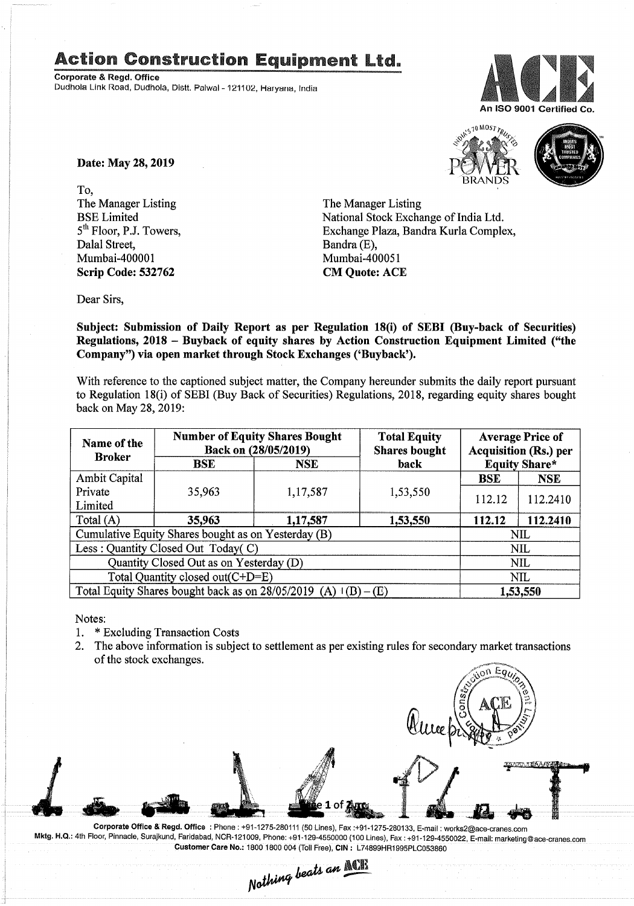## Action Construction Equipment Ltd..

Corporate & Regd. Office Dudhola Link Road, Dudhola, Distt. Palwal - 121102, Haryana, India



S<sub>10</sub> MOST TRUS

Date: May 28, 2019

To, The Manager Listing BSE Limited 5<sup>th</sup> Floor, P.J. Towers, Dalal Street, Mumbai-400001 Scrip Code: 532762

The Manager Listing National Stock Exchange of India Ltd. Exchange Plaza, Bandra Kurla Complex, Bandra (E), Mumbai-400051 CM Quote: ACE

Dear Sirs,

Subject: Submission of Daily Report as per Regulation 18(i) of SEBI (Buy-back of Securities) Regulations, 2018 - Buyback of equity shares by Action Construction Equipment Limited ("the Company") via open market through Stock Exchanges ('Buyback').

With reference to the captioned subject matter, the Company hereunder submits the daily report pursuant to Regulation 18(i) of SEBI (Buy Back of Securities) Regulations, 2018, regarding equity shares bought back on May 28,2019:

| Name of the<br><b>Broker</b>                                        | <b>Number of Equity Shares Bought</b><br>Back on (28/05/2019) |            | <b>Total Equity</b><br><b>Shares bought</b> | <b>Average Price of</b><br><b>Acquisition (Rs.) per</b> |            |  |
|---------------------------------------------------------------------|---------------------------------------------------------------|------------|---------------------------------------------|---------------------------------------------------------|------------|--|
|                                                                     | <b>BSE</b>                                                    | <b>NSE</b> | back                                        | <b>Equity Share*</b>                                    |            |  |
| Ambit Capital                                                       |                                                               |            |                                             | <b>BSE</b>                                              | <b>NSE</b> |  |
| Private                                                             | 35,963                                                        | 1,17,587   | 1,53,550                                    | 112.12                                                  | 112.2410   |  |
| Limited                                                             |                                                               |            |                                             |                                                         |            |  |
| Total $(A)$                                                         | 35,963                                                        | 1,17,587   | 1,53,550                                    | 112.12                                                  | 112.2410   |  |
| Cumulative Equity Shares bought as on Yesterday (B)                 |                                                               |            |                                             |                                                         | NIL        |  |
| Less: Quantity Closed Out Today(C)                                  |                                                               |            |                                             | NIL                                                     |            |  |
| Quantity Closed Out as on Yesterday (D)                             |                                                               |            |                                             | <b>NIL</b>                                              |            |  |
| Total Quantity closed out(C+D=E)                                    |                                                               |            |                                             | <b>NIL</b>                                              |            |  |
| Total Equity Shares bought back as on $28/05/2019$ (A) $1(B) - (E)$ |                                                               |            |                                             | 1,53,550                                                |            |  |

Notes:

- 1. \* Excluding Transaction Costs<br>2. The above information is subje
- The above information is subject to settlement as per existing rules for secondary market transactions of the stock exchanges.  $\overline{p}$  Eq<sub>u</sub>

Corporate Office & Regd. Office: Phone: +91-1275-280111 (50 Lines). Fax:+91-1275-280133. E-mail: works2@ace-cranes.com Mktg. H.Q.: 4th Floor, Pinnacle, Surajkund, Faridabad, NOR-121009, Phone: +91-129-4550000 (100 Lines), Fax: +91-129-4550022, E-mail: marketing@ace-cranes.com

Customer Care No.: 1800 1800 004 (Toll Free), CIN: L74899HR1995PLC053860<br>Nathing beats an **MCILL**